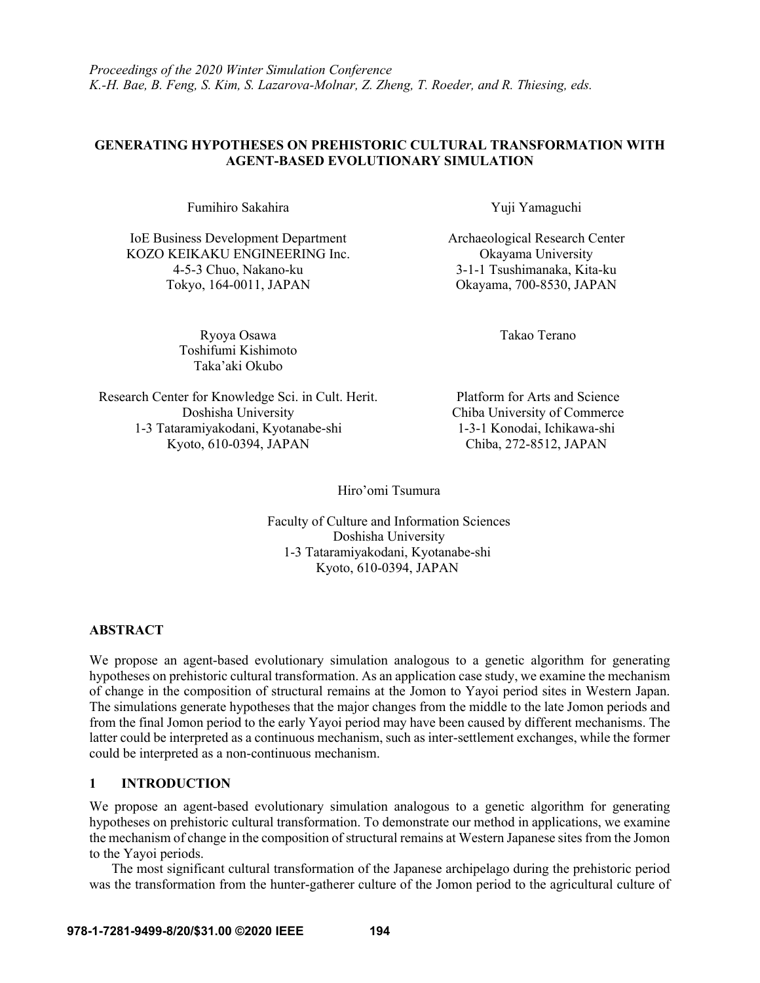*Proceedings of the 2020 Winter Simulation Conference K.-H. Bae, B. Feng, S. Kim, S. Lazarova-Molnar, Z. Zheng, T. Roeder, and R. Thiesing, eds.*

## **GENERATING HYPOTHESES ON PREHISTORIC CULTURAL TRANSFORMATION WITH AGENT-BASED EVOLUTIONARY SIMULATION**

Fumihiro Sakahira Xuji Yamaguchi

IoE Business Development Department Archaeological Research Center KOZO KEIKAKU ENGINEERING Inc. Okayama University 4-5-3 Chuo, Nakano-ku 3-1-1 Tsushimanaka, Kita-ku Tokyo, 164-0011, JAPAN Okayama, 700-8530, JAPAN

> Ryoya Osawa **Takao Terano** Toshifumi Kishimoto Taka'aki Okubo

Research Center for Knowledge Sci. in Cult. Herit. Platform for Arts and Science Doshisha University Chiba University of Commerce 1-3 Tataramiyakodani, Kyotanabe-shi 1-3-1 Konodai, Ichikawa-shi Kyoto, 610-0394, JAPAN Chiba, 272-8512, JAPAN

Hiro'omi Tsumura

Faculty of Culture and Information Sciences Doshisha University 1-3 Tataramiyakodani, Kyotanabe-shi Kyoto, 610-0394, JAPAN

## **ABSTRACT**

We propose an agent-based evolutionary simulation analogous to a genetic algorithm for generating hypotheses on prehistoric cultural transformation. As an application case study, we examine the mechanism of change in the composition of structural remains at the Jomon to Yayoi period sites in Western Japan. The simulations generate hypotheses that the major changes from the middle to the late Jomon periods and from the final Jomon period to the early Yayoi period may have been caused by different mechanisms. The latter could be interpreted as a continuous mechanism, such as inter-settlement exchanges, while the former could be interpreted as a non-continuous mechanism.

## **1 INTRODUCTION**

We propose an agent-based evolutionary simulation analogous to a genetic algorithm for generating hypotheses on prehistoric cultural transformation. To demonstrate our method in applications, we examine the mechanism of change in the composition of structural remains at Western Japanese sites from the Jomon to the Yayoi periods.

The most significant cultural transformation of the Japanese archipelago during the prehistoric period was the transformation from the hunter-gatherer culture of the Jomon period to the agricultural culture of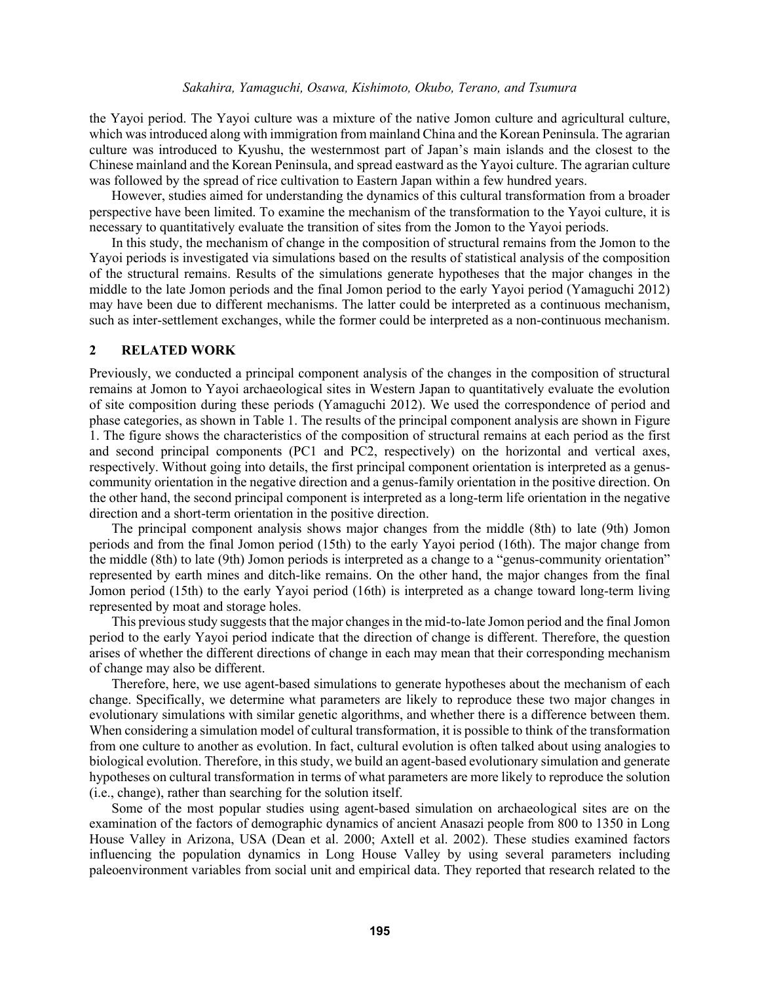#### *Sakahira, Yamaguchi, Osawa, Kishimoto, Okubo, Terano, and Tsumura*

the Yayoi period. The Yayoi culture was a mixture of the native Jomon culture and agricultural culture, which was introduced along with immigration from mainland China and the Korean Peninsula. The agrarian culture was introduced to Kyushu, the westernmost part of Japan's main islands and the closest to the Chinese mainland and the Korean Peninsula, and spread eastward as the Yayoi culture. The agrarian culture was followed by the spread of rice cultivation to Eastern Japan within a few hundred years.

However, studies aimed for understanding the dynamics of this cultural transformation from a broader perspective have been limited. To examine the mechanism of the transformation to the Yayoi culture, it is necessary to quantitatively evaluate the transition of sites from the Jomon to the Yayoi periods.

In this study, the mechanism of change in the composition of structural remains from the Jomon to the Yayoi periods is investigated via simulations based on the results of statistical analysis of the composition of the structural remains. Results of the simulations generate hypotheses that the major changes in the middle to the late Jomon periods and the final Jomon period to the early Yayoi period (Yamaguchi 2012) may have been due to different mechanisms. The latter could be interpreted as a continuous mechanism, such as inter-settlement exchanges, while the former could be interpreted as a non-continuous mechanism.

### **2 RELATED WORK**

Previously, we conducted a principal component analysis of the changes in the composition of structural remains at Jomon to Yayoi archaeological sites in Western Japan to quantitatively evaluate the evolution of site composition during these periods (Yamaguchi 2012). We used the correspondence of period and phase categories, as shown in Table 1. The results of the principal component analysis are shown in Figure 1. The figure shows the characteristics of the composition of structural remains at each period as the first and second principal components (PC1 and PC2, respectively) on the horizontal and vertical axes, respectively. Without going into details, the first principal component orientation is interpreted as a genuscommunity orientation in the negative direction and a genus-family orientation in the positive direction. On the other hand, the second principal component is interpreted as a long-term life orientation in the negative direction and a short-term orientation in the positive direction.

The principal component analysis shows major changes from the middle (8th) to late (9th) Jomon periods and from the final Jomon period (15th) to the early Yayoi period (16th). The major change from the middle (8th) to late (9th) Jomon periods is interpreted as a change to a "genus-community orientation" represented by earth mines and ditch-like remains. On the other hand, the major changes from the final Jomon period (15th) to the early Yayoi period (16th) is interpreted as a change toward long-term living represented by moat and storage holes.

This previous study suggests that the major changes in the mid-to-late Jomon period and the final Jomon period to the early Yayoi period indicate that the direction of change is different. Therefore, the question arises of whether the different directions of change in each may mean that their corresponding mechanism of change may also be different.

Therefore, here, we use agent-based simulations to generate hypotheses about the mechanism of each change. Specifically, we determine what parameters are likely to reproduce these two major changes in evolutionary simulations with similar genetic algorithms, and whether there is a difference between them. When considering a simulation model of cultural transformation, it is possible to think of the transformation from one culture to another as evolution. In fact, cultural evolution is often talked about using analogies to biological evolution. Therefore, in this study, we build an agent-based evolutionary simulation and generate hypotheses on cultural transformation in terms of what parameters are more likely to reproduce the solution (i.e., change), rather than searching for the solution itself.

Some of the most popular studies using agent-based simulation on archaeological sites are on the examination of the factors of demographic dynamics of ancient Anasazi people from 800 to 1350 in Long House Valley in Arizona, USA (Dean et al. 2000; Axtell et al. 2002). These studies examined factors influencing the population dynamics in Long House Valley by using several parameters including paleoenvironment variables from social unit and empirical data. They reported that research related to the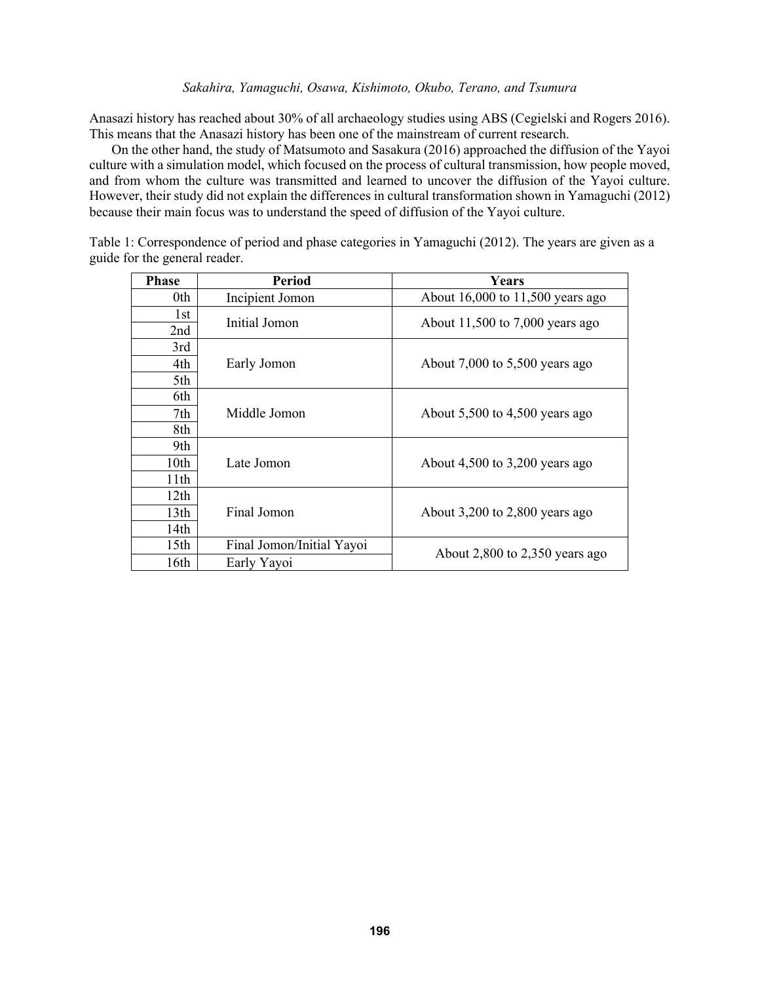### *Sakahira, Yamaguchi, Osawa, Kishimoto, Okubo, Terano, and Tsumura*

Anasazi history has reached about 30% of all archaeology studies using ABS (Cegielski and Rogers 2016). This means that the Anasazi history has been one of the mainstream of current research.

On the other hand, the study of Matsumoto and Sasakura (2016) approached the diffusion of the Yayoi culture with a simulation model, which focused on the process of cultural transmission, how people moved, and from whom the culture was transmitted and learned to uncover the diffusion of the Yayoi culture. However, their study did not explain the differences in cultural transformation shown in Yamaguchi (2012) because their main focus was to understand the speed of diffusion of the Yayoi culture.

Table 1: Correspondence of period and phase categories in Yamaguchi (2012). The years are given as a guide for the general reader.

| <b>Phase</b>     | <b>Period</b>             | Years                              |  |
|------------------|---------------------------|------------------------------------|--|
| 0th              | Incipient Jomon           | About 16,000 to 11,500 years ago   |  |
| 1st              | Initial Jomon             | About $11,500$ to 7,000 years ago  |  |
| 2nd              |                           |                                    |  |
| 3rd              |                           | About $7,000$ to $5,500$ years ago |  |
| 4th              | Early Jomon               |                                    |  |
| 5th              |                           |                                    |  |
| 6th              |                           |                                    |  |
| 7th              | Middle Jomon              | About $5,500$ to $4,500$ years ago |  |
| 8th              |                           |                                    |  |
| 9th              |                           |                                    |  |
| 10th             | Late Jomon                | About $4,500$ to $3,200$ years ago |  |
| 11th             |                           |                                    |  |
| 12th             |                           |                                    |  |
| 13 <sub>th</sub> | Final Jomon               | About $3,200$ to $2,800$ years ago |  |
| 14th             |                           |                                    |  |
| 15th             | Final Jomon/Initial Yayoi | About $2,800$ to $2,350$ years ago |  |
| 16th             | Early Yayoi               |                                    |  |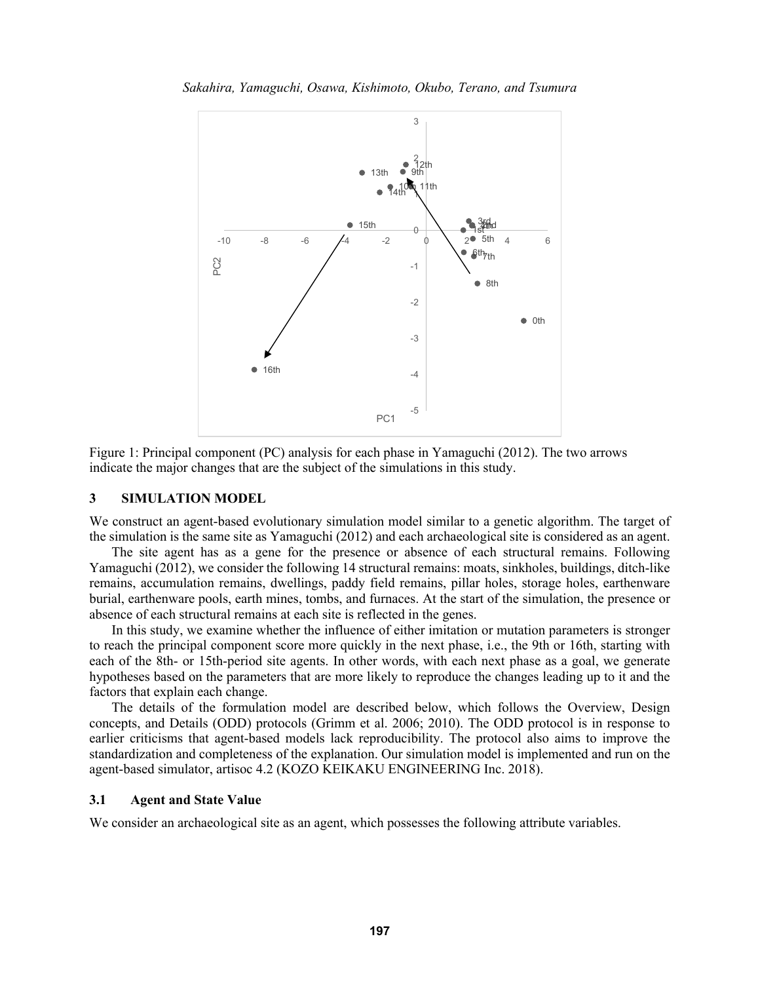



Figure 1: Principal component (PC) analysis for each phase in Yamaguchi (2012). The two arrows indicate the major changes that are the subject of the simulations in this study.

### **3 SIMULATION MODEL**

We construct an agent-based evolutionary simulation model similar to a genetic algorithm. The target of the simulation is the same site as Yamaguchi (2012) and each archaeological site is considered as an agent.

The site agent has as a gene for the presence or absence of each structural remains. Following Yamaguchi (2012), we consider the following 14 structural remains: moats, sinkholes, buildings, ditch-like remains, accumulation remains, dwellings, paddy field remains, pillar holes, storage holes, earthenware burial, earthenware pools, earth mines, tombs, and furnaces. At the start of the simulation, the presence or absence of each structural remains at each site is reflected in the genes.

In this study, we examine whether the influence of either imitation or mutation parameters is stronger to reach the principal component score more quickly in the next phase, i.e., the 9th or 16th, starting with each of the 8th- or 15th-period site agents. In other words, with each next phase as a goal, we generate hypotheses based on the parameters that are more likely to reproduce the changes leading up to it and the factors that explain each change.

The details of the formulation model are described below, which follows the Overview, Design concepts, and Details (ODD) protocols (Grimm et al. 2006; 2010). The ODD protocol is in response to earlier criticisms that agent-based models lack reproducibility. The protocol also aims to improve the standardization and completeness of the explanation. Our simulation model is implemented and run on the agent-based simulator, artisoc 4.2 (KOZO KEIKAKU ENGINEERING Inc. 2018).

### **3.1 Agent and State Value**

We consider an archaeological site as an agent, which possesses the following attribute variables.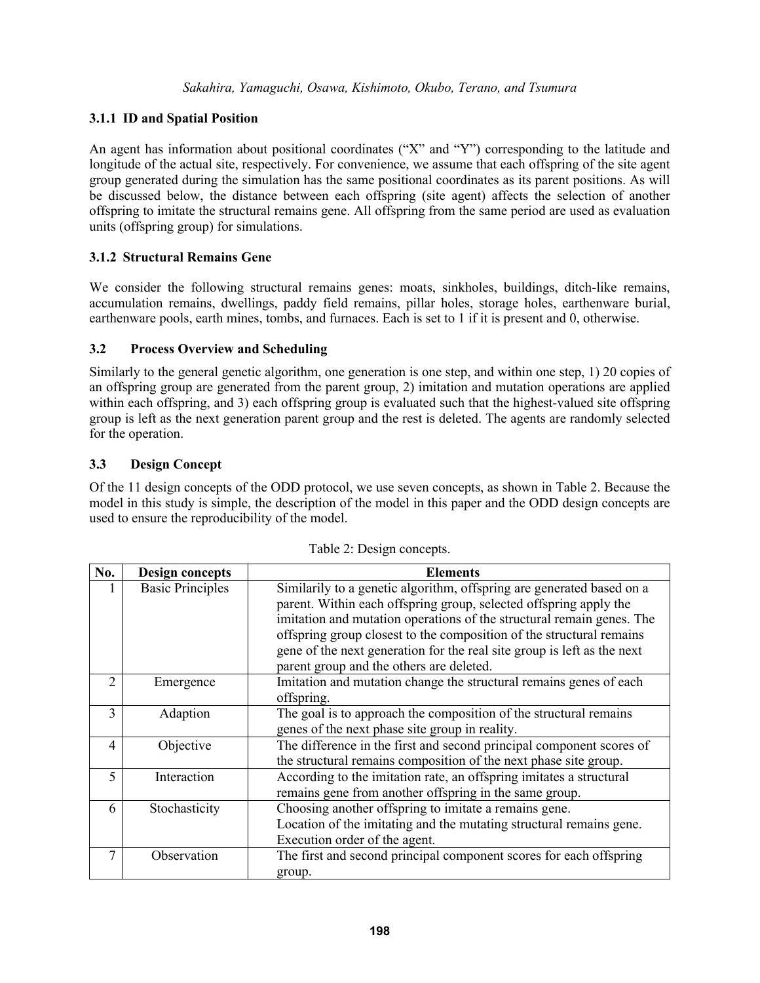# **3.1.1 ID and Spatial Position**

An agent has information about positional coordinates ("X" and "Y") corresponding to the latitude and longitude of the actual site, respectively. For convenience, we assume that each offspring of the site agent group generated during the simulation has the same positional coordinates as its parent positions. As will be discussed below, the distance between each offspring (site agent) affects the selection of another offspring to imitate the structural remains gene. All offspring from the same period are used as evaluation units (offspring group) for simulations.

## **3.1.2 Structural Remains Gene**

We consider the following structural remains genes: moats, sinkholes, buildings, ditch-like remains, accumulation remains, dwellings, paddy field remains, pillar holes, storage holes, earthenware burial, earthenware pools, earth mines, tombs, and furnaces. Each is set to 1 if it is present and 0, otherwise.

## **3.2 Process Overview and Scheduling**

Similarly to the general genetic algorithm, one generation is one step, and within one step, 1) 20 copies of an offspring group are generated from the parent group, 2) imitation and mutation operations are applied within each offspring, and 3) each offspring group is evaluated such that the highest-valued site offspring group is left as the next generation parent group and the rest is deleted. The agents are randomly selected for the operation.

## **3.3 Design Concept**

Of the 11 design concepts of the ODD protocol, we use seven concepts, as shown in Table 2. Because the model in this study is simple, the description of the model in this paper and the ODD design concepts are used to ensure the reproducibility of the model.

| No.                      | <b>Design concepts</b>  | <b>Elements</b>                                                                                                                                                                                                                                                                                                                                                        |  |
|--------------------------|-------------------------|------------------------------------------------------------------------------------------------------------------------------------------------------------------------------------------------------------------------------------------------------------------------------------------------------------------------------------------------------------------------|--|
|                          | <b>Basic Principles</b> | Similarily to a genetic algorithm, offspring are generated based on a<br>parent. Within each offspring group, selected offspring apply the<br>imitation and mutation operations of the structural remain genes. The<br>offspring group closest to the composition of the structural remains<br>gene of the next generation for the real site group is left as the next |  |
|                          |                         | parent group and the others are deleted.                                                                                                                                                                                                                                                                                                                               |  |
| 2                        | Emergence               | Imitation and mutation change the structural remains genes of each<br>offspring.                                                                                                                                                                                                                                                                                       |  |
| 3                        | Adaption                | The goal is to approach the composition of the structural remains<br>genes of the next phase site group in reality.                                                                                                                                                                                                                                                    |  |
| 4                        | Objective               | The difference in the first and second principal component scores of<br>the structural remains composition of the next phase site group.                                                                                                                                                                                                                               |  |
| $\overline{\phantom{0}}$ | Interaction             | According to the imitation rate, an offspring imitates a structural<br>remains gene from another offspring in the same group.                                                                                                                                                                                                                                          |  |
| 6                        | Stochasticity           | Choosing another offspring to imitate a remains gene.<br>Location of the imitating and the mutating structural remains gene.<br>Execution order of the agent.                                                                                                                                                                                                          |  |
|                          | Observation             | The first and second principal component scores for each offspring<br>group.                                                                                                                                                                                                                                                                                           |  |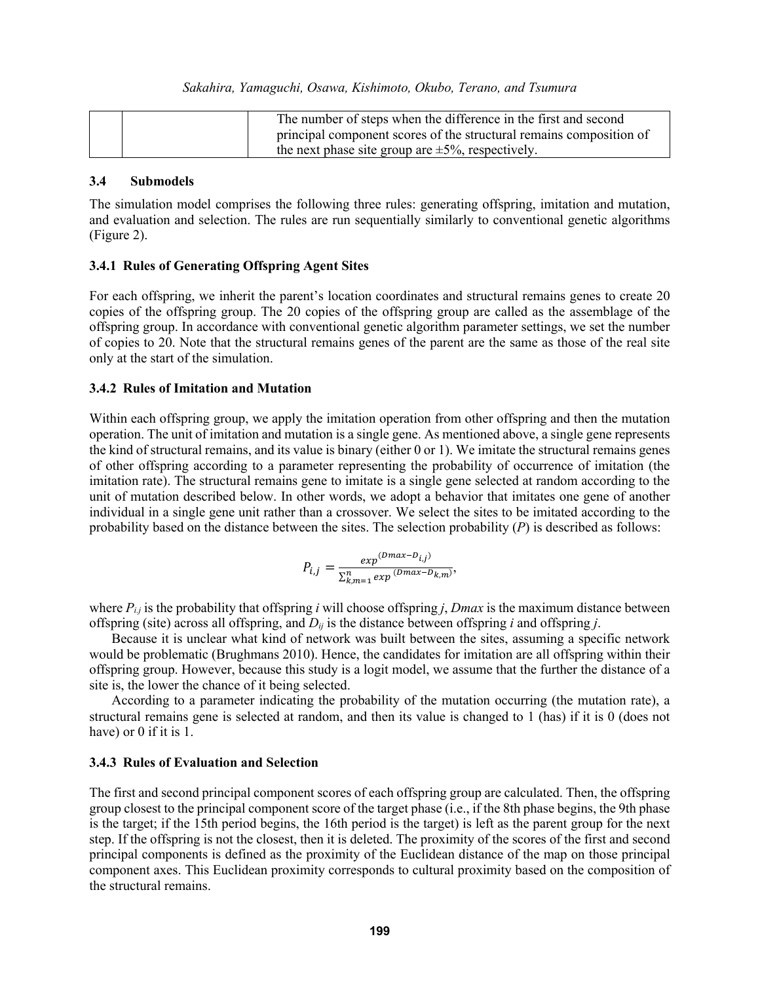| The number of steps when the difference in the first and second     |  |
|---------------------------------------------------------------------|--|
| principal component scores of the structural remains composition of |  |
| the next phase site group are $\pm 5\%$ , respectively.             |  |

### **3.4 Submodels**

The simulation model comprises the following three rules: generating offspring, imitation and mutation, and evaluation and selection. The rules are run sequentially similarly to conventional genetic algorithms (Figure 2).

### **3.4.1 Rules of Generating Offspring Agent Sites**

For each offspring, we inherit the parent's location coordinates and structural remains genes to create 20 copies of the offspring group. The 20 copies of the offspring group are called as the assemblage of the offspring group. In accordance with conventional genetic algorithm parameter settings, we set the number of copies to 20. Note that the structural remains genes of the parent are the same as those of the real site only at the start of the simulation.

### **3.4.2 Rules of Imitation and Mutation**

Within each offspring group, we apply the imitation operation from other offspring and then the mutation operation. The unit of imitation and mutation is a single gene. As mentioned above, a single gene represents the kind of structural remains, and its value is binary (either 0 or 1). We imitate the structural remains genes of other offspring according to a parameter representing the probability of occurrence of imitation (the imitation rate). The structural remains gene to imitate is a single gene selected at random according to the unit of mutation described below. In other words, we adopt a behavior that imitates one gene of another individual in a single gene unit rather than a crossover. We select the sites to be imitated according to the probability based on the distance between the sites. The selection probability (*P*) is described as follows:

$$
P_{i,j} = \frac{exp^{(Dmax - D_{i,j})}}{\sum_{k,m=1}^{n} exp^{(Dmax - D_{k,m})}}
$$

,

where  $P_{i,j}$  is the probability that offspring *i* will choose offspring *j*, *Dmax* is the maximum distance between offspring (site) across all offspring, and *Dij* is the distance between offspring *i* and offspring *j*.

Because it is unclear what kind of network was built between the sites, assuming a specific network would be problematic (Brughmans 2010). Hence, the candidates for imitation are all offspring within their offspring group. However, because this study is a logit model, we assume that the further the distance of a site is, the lower the chance of it being selected.

According to a parameter indicating the probability of the mutation occurring (the mutation rate), a structural remains gene is selected at random, and then its value is changed to 1 (has) if it is 0 (does not have) or 0 if it is 1.

### **3.4.3 Rules of Evaluation and Selection**

The first and second principal component scores of each offspring group are calculated. Then, the offspring group closest to the principal component score of the target phase (i.e., if the 8th phase begins, the 9th phase is the target; if the 15th period begins, the 16th period is the target) is left as the parent group for the next step. If the offspring is not the closest, then it is deleted. The proximity of the scores of the first and second principal components is defined as the proximity of the Euclidean distance of the map on those principal component axes. This Euclidean proximity corresponds to cultural proximity based on the composition of the structural remains.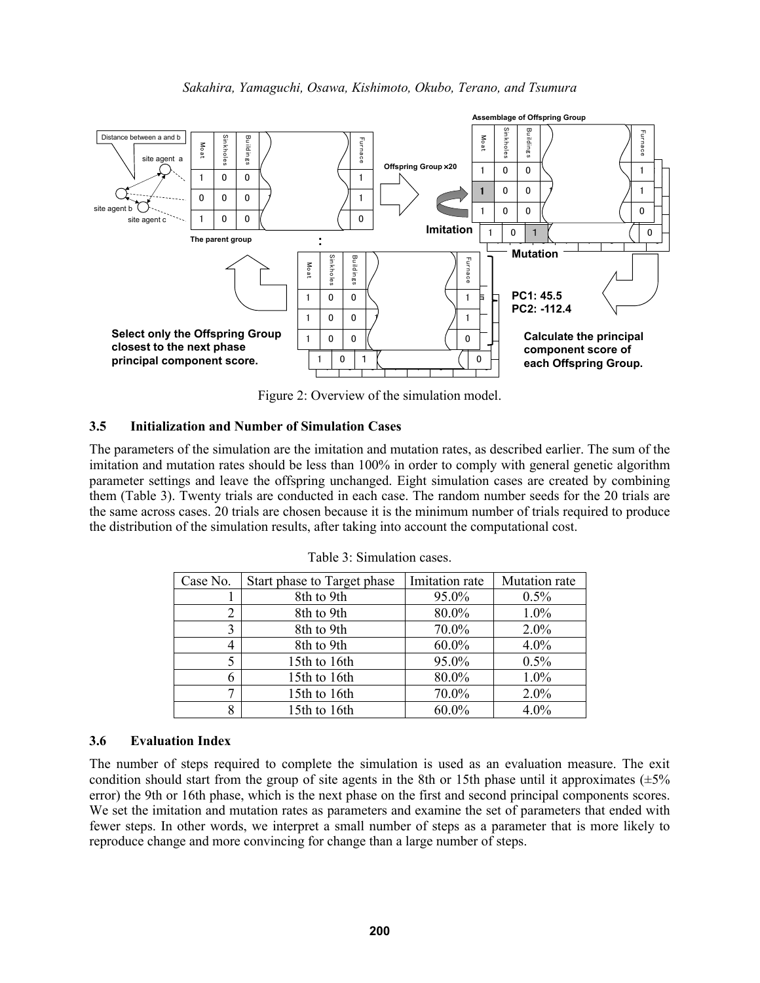

Figure 2: Overview of the simulation model.

## **3.5 Initialization and Number of Simulation Cases**

The parameters of the simulation are the imitation and mutation rates, as described earlier. The sum of the imitation and mutation rates should be less than 100% in order to comply with general genetic algorithm parameter settings and leave the offspring unchanged. Eight simulation cases are created by combining them (Table 3). Twenty trials are conducted in each case. The random number seeds for the 20 trials are the same across cases. 20 trials are chosen because it is the minimum number of trials required to produce the distribution of the simulation results, after taking into account the computational cost.

| Case No. | Start phase to Target phase | Imitation rate | Mutation rate |
|----------|-----------------------------|----------------|---------------|
|          | 8th to 9th                  | 95.0%          | 0.5%          |
| 2        | 8th to 9th                  | 80.0%          | $1.0\%$       |
| 3        | 8th to 9th                  | 70.0%          | 2.0%          |
| 4        | 8th to 9th                  | 60.0%          | 4.0%          |
| 5        | 15th to 16th                | 95.0%          | 0.5%          |
| 6        | 15th to 16th                | 80.0%          | 1.0%          |
| ⇁        | 15th to 16th                | 70.0%          | 2.0%          |
| 8        | 15th to 16th                | 60.0%          | 4.0%          |

Table 3: Simulation cases.

## **3.6 Evaluation Index**

The number of steps required to complete the simulation is used as an evaluation measure. The exit condition should start from the group of site agents in the 8th or 15th phase until it approximates  $(\pm 5\%$ error) the 9th or 16th phase, which is the next phase on the first and second principal components scores. We set the imitation and mutation rates as parameters and examine the set of parameters that ended with fewer steps. In other words, we interpret a small number of steps as a parameter that is more likely to reproduce change and more convincing for change than a large number of steps.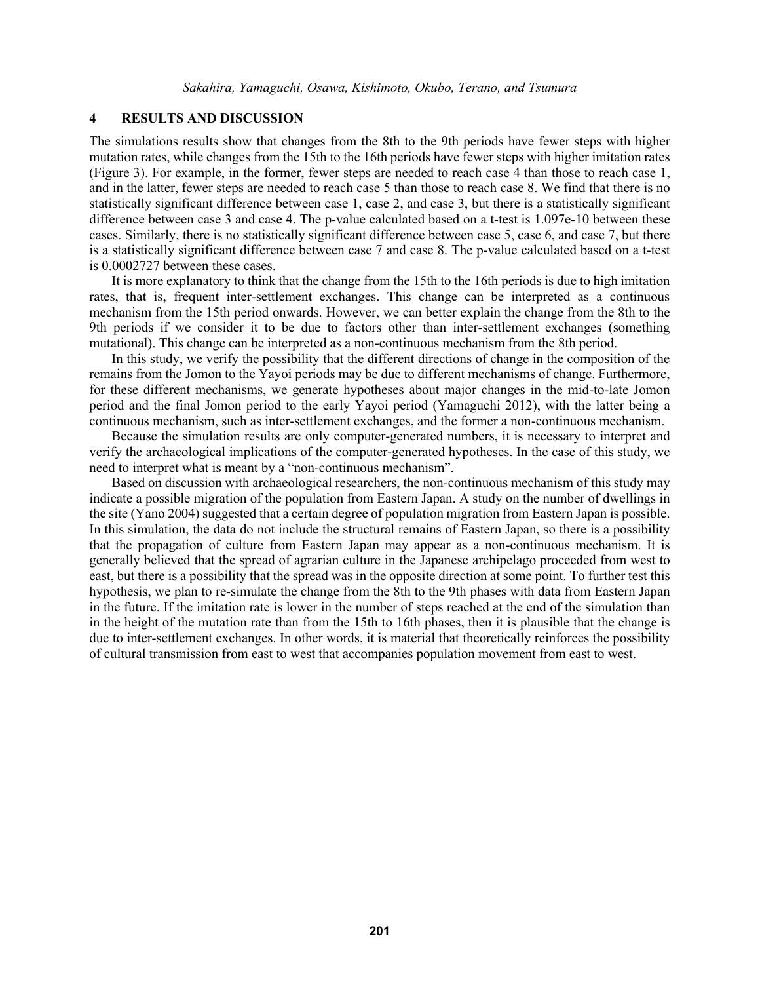### **4 RESULTS AND DISCUSSION**

The simulations results show that changes from the 8th to the 9th periods have fewer steps with higher mutation rates, while changes from the 15th to the 16th periods have fewer steps with higher imitation rates (Figure 3). For example, in the former, fewer steps are needed to reach case 4 than those to reach case 1, and in the latter, fewer steps are needed to reach case 5 than those to reach case 8. We find that there is no statistically significant difference between case 1, case 2, and case 3, but there is a statistically significant difference between case 3 and case 4. The p-value calculated based on a t-test is 1.097e-10 between these cases. Similarly, there is no statistically significant difference between case 5, case 6, and case 7, but there is a statistically significant difference between case 7 and case 8. The p-value calculated based on a t-test is 0.0002727 between these cases.

It is more explanatory to think that the change from the 15th to the 16th periods is due to high imitation rates, that is, frequent inter-settlement exchanges. This change can be interpreted as a continuous mechanism from the 15th period onwards. However, we can better explain the change from the 8th to the 9th periods if we consider it to be due to factors other than inter-settlement exchanges (something mutational). This change can be interpreted as a non-continuous mechanism from the 8th period.

In this study, we verify the possibility that the different directions of change in the composition of the remains from the Jomon to the Yayoi periods may be due to different mechanisms of change. Furthermore, for these different mechanisms, we generate hypotheses about major changes in the mid-to-late Jomon period and the final Jomon period to the early Yayoi period (Yamaguchi 2012), with the latter being a continuous mechanism, such as inter-settlement exchanges, and the former a non-continuous mechanism.

Because the simulation results are only computer-generated numbers, it is necessary to interpret and verify the archaeological implications of the computer-generated hypotheses. In the case of this study, we need to interpret what is meant by a "non-continuous mechanism".

Based on discussion with archaeological researchers, the non-continuous mechanism of this study may indicate a possible migration of the population from Eastern Japan. A study on the number of dwellings in the site (Yano 2004) suggested that a certain degree of population migration from Eastern Japan is possible. In this simulation, the data do not include the structural remains of Eastern Japan, so there is a possibility that the propagation of culture from Eastern Japan may appear as a non-continuous mechanism. It is generally believed that the spread of agrarian culture in the Japanese archipelago proceeded from west to east, but there is a possibility that the spread was in the opposite direction at some point. To further test this hypothesis, we plan to re-simulate the change from the 8th to the 9th phases with data from Eastern Japan in the future. If the imitation rate is lower in the number of steps reached at the end of the simulation than in the height of the mutation rate than from the 15th to 16th phases, then it is plausible that the change is due to inter-settlement exchanges. In other words, it is material that theoretically reinforces the possibility of cultural transmission from east to west that accompanies population movement from east to west.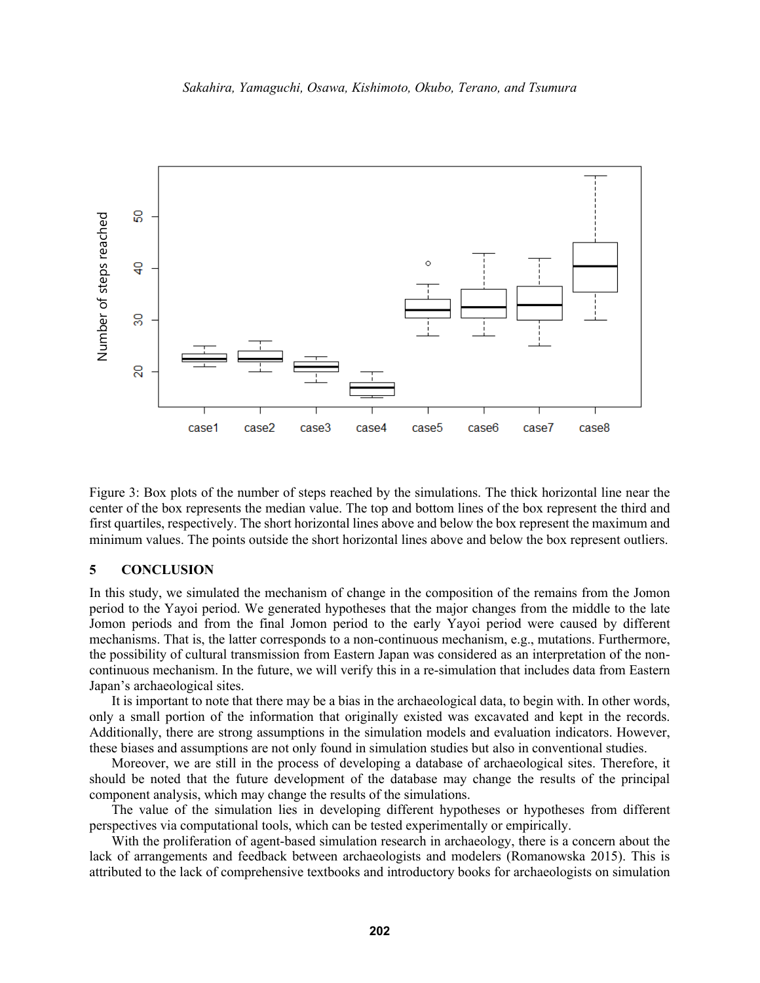

Figure 3: Box plots of the number of steps reached by the simulations. The thick horizontal line near the center of the box represents the median value. The top and bottom lines of the box represent the third and first quartiles, respectively. The short horizontal lines above and below the box represent the maximum and minimum values. The points outside the short horizontal lines above and below the box represent outliers.

### **5 CONCLUSION**

In this study, we simulated the mechanism of change in the composition of the remains from the Jomon period to the Yayoi period. We generated hypotheses that the major changes from the middle to the late Jomon periods and from the final Jomon period to the early Yayoi period were caused by different mechanisms. That is, the latter corresponds to a non-continuous mechanism, e.g., mutations. Furthermore, the possibility of cultural transmission from Eastern Japan was considered as an interpretation of the noncontinuous mechanism. In the future, we will verify this in a re-simulation that includes data from Eastern Japan's archaeological sites.

It is important to note that there may be a bias in the archaeological data, to begin with. In other words, only a small portion of the information that originally existed was excavated and kept in the records. Additionally, there are strong assumptions in the simulation models and evaluation indicators. However, these biases and assumptions are not only found in simulation studies but also in conventional studies.

Moreover, we are still in the process of developing a database of archaeological sites. Therefore, it should be noted that the future development of the database may change the results of the principal component analysis, which may change the results of the simulations.

The value of the simulation lies in developing different hypotheses or hypotheses from different perspectives via computational tools, which can be tested experimentally or empirically.

With the proliferation of agent-based simulation research in archaeology, there is a concern about the lack of arrangements and feedback between archaeologists and modelers (Romanowska 2015). This is attributed to the lack of comprehensive textbooks and introductory books for archaeologists on simulation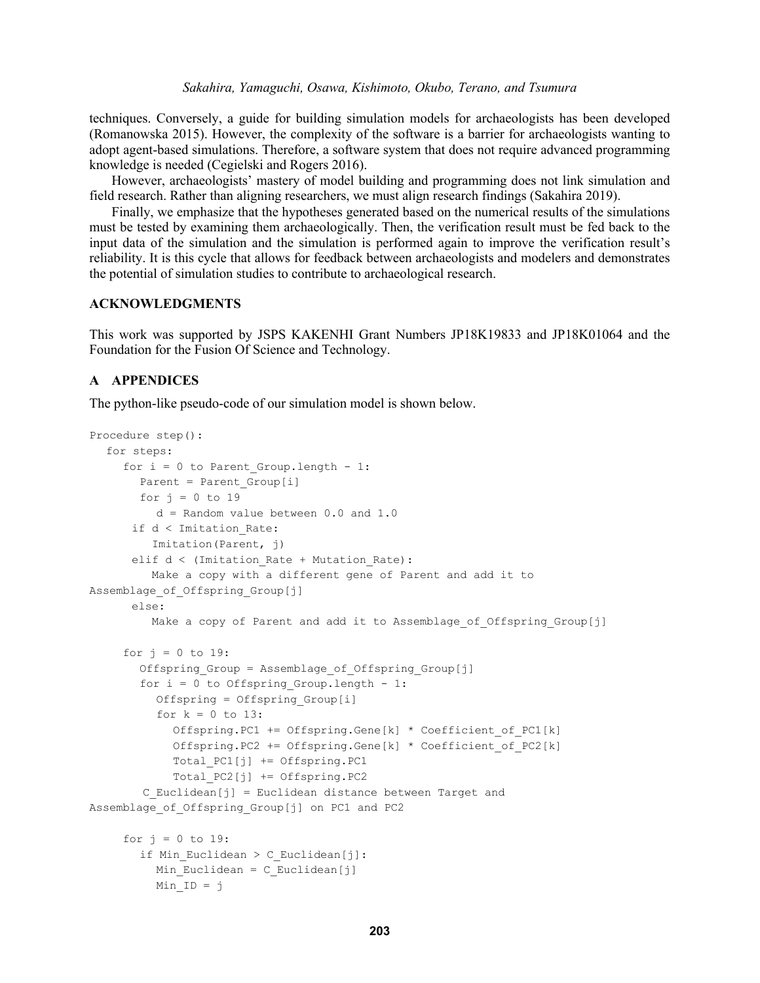### *Sakahira, Yamaguchi, Osawa, Kishimoto, Okubo, Terano, and Tsumura*

techniques. Conversely, a guide for building simulation models for archaeologists has been developed (Romanowska 2015). However, the complexity of the software is a barrier for archaeologists wanting to adopt agent-based simulations. Therefore, a software system that does not require advanced programming knowledge is needed (Cegielski and Rogers 2016).

However, archaeologists' mastery of model building and programming does not link simulation and field research. Rather than aligning researchers, we must align research findings (Sakahira 2019).

Finally, we emphasize that the hypotheses generated based on the numerical results of the simulations must be tested by examining them archaeologically. Then, the verification result must be fed back to the input data of the simulation and the simulation is performed again to improve the verification result's reliability. It is this cycle that allows for feedback between archaeologists and modelers and demonstrates the potential of simulation studies to contribute to archaeological research.

### **ACKNOWLEDGMENTS**

This work was supported by JSPS KAKENHI Grant Numbers JP18K19833 and JP18K01064 and the Foundation for the Fusion Of Science and Technology.

### **A APPENDICES**

The python-like pseudo-code of our simulation model is shown below.

```
Procedure step():
  for steps:
     for i = 0 to Parent Group. length - 1:
       Parent = Parent Group[i]
       for j = 0 to 19
          d = Random value between 0.0 and 1.0
       if d < Imitation_Rate:
          Imitation(Parent, j)
      elif d < (Imitation Rate + Mutation Rate):
          Make a copy with a different gene of Parent and add it to 
Assemblage of Offspring Group[j]
       else:
         Make a copy of Parent and add it to Assemblage of Offspring Group[j]
     for j = 0 to 19:
       Offspring_Group = Assemblage_of_Offspring_Group[j]
       for i = 0 to Offspring Group.length - 1:
          Offspring = Offspring_Group[i]
          for k = 0 to 13:
            Offspring.PC1 += Offspring.Gene[k] * Coefficient of PC1[k]
            Offspring.PC2 += Offspring.Gene[k] * Coefficient_of_PC2[k]
            Total_PC1[j] += Offspring.PC1
            Total_PC2[j] += Offspring.PC2
         C_Euclidean[j] = Euclidean distance between Target and
Assemblage of Offspring Group[j] on PC1 and PC2
     for j = 0 to 19:
       if Min Euclidean > C Euclidean[j]:
          Min Euclidean = C Euclidean[j]
          Min ID = \dot{\gamma}
```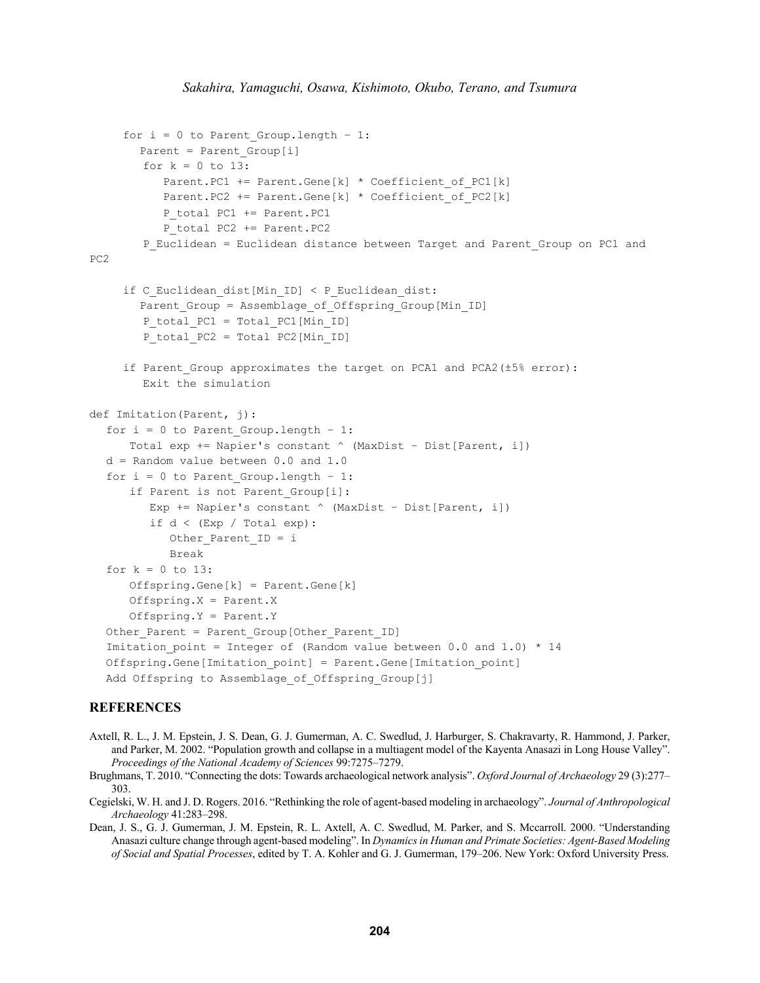```
for i = 0 to Parent Group. length - 1:
       Parent = Parent Group[i]
        for k = 0 to 13:
            Parent.PC1 += Parent.Gene[k] * Coefficient_of_PC1[k]
           Parent.PC2 += Parent.Gene[k] * Coefficient of PC2[k]
           P total PC1 += Parent.PC1
           P total PC2 += Parent. PC2
        P_Euclidean = Euclidean distance between Target and Parent Group on PC1 and
PC2
     if C Euclidean dist[Min ID] < P Euclidean dist:
       Parent_Group = Assemblage_of_Offspring_Group[Min_ID]
         P_total_PC1 = Total_PC1[Min_ID]
        P_total_PC2 = Total PC2[Min_ID]
     if Parent_Group approximates the target on PCA1 and PCA2(±5% error):
         Exit the simulation
def Imitation(Parent, j):
  for i = 0 to Parent Group. length - 1:
       Total exp += Napier's constant ^ (MaxDist – Dist[Parent, i])
  d = Random value between 0.0 and 1.0
  for i = 0 to Parent Group. length - 1:
       if Parent is not Parent_Group[i]:
         Exp += Napier's constant \land (MaxDist - Dist[Parent, i])
         if d < (Exp / Total exp):
            Other Parent ID = i
             Break
  for k = 0 to 13:
       Offspring.Gene[k] = Parent.Gene[k]
       Offspring.X = Parent.X
       Offspring.Y = Parent.Y
  Other Parent = Parent Group[Other Parent ID]
  Imitation point = Integer of (Random value between 0.0 and 1.0) * 14
  Offspring.Gene[Imitation_point] = Parent.Gene[Imitation_point]
  Add Offspring to Assemblage of Offspring Group[j]
```
#### **REFERENCES**

- Axtell, R. L., J. M. Epstein, J. S. Dean, G. J. Gumerman, A. C. Swedlud, J. Harburger, S. Chakravarty, R. Hammond, J. Parker, and Parker, M. 2002. "Population growth and collapse in a multiagent model of the Kayenta Anasazi in Long House Valley". *Proceedings of the National Academy of Sciences* 99:7275–7279.
- Brughmans, T. 2010. "Connecting the dots: Towards archaeological network analysis". *Oxford Journal of Archaeology* 29 (3):277– 303.
- Cegielski, W. H. and J. D. Rogers. 2016. "Rethinking the role of agent-based modeling in archaeology". *Journal of Anthropological Archaeology* 41:283–298.
- Dean, J. S., G. J. Gumerman, J. M. Epstein, R. L. Axtell, A. C. Swedlud, M. Parker, and S. Mccarroll. 2000. "Understanding Anasazi culture change through agent-based modeling". In *Dynamics in Human and Primate Societies: Agent-Based Modeling of Social and Spatial Processes*, edited by T. A. Kohler and G. J. Gumerman, 179–206. New York: Oxford University Press.